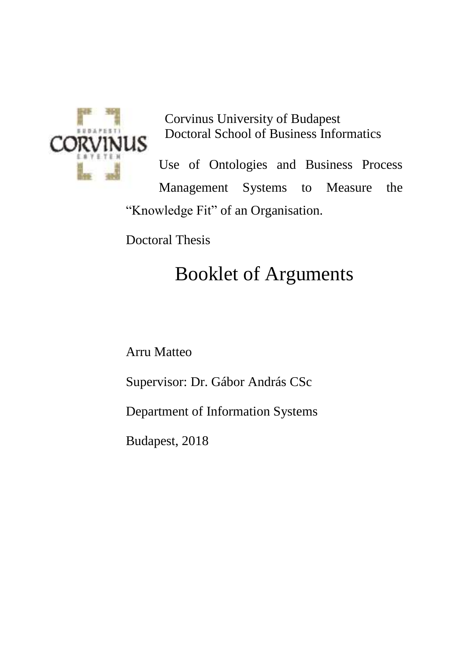

Corvinus University of Budapest Doctoral School of Business Informatics

Use of Ontologies and Business Process Management Systems to Measure the "Knowledge Fit" of an Organisation.

Doctoral Thesis

# Booklet of Arguments

Arru Matteo

Supervisor: Dr. Gábor András CSc

Department of Information Systems

Budapest, 2018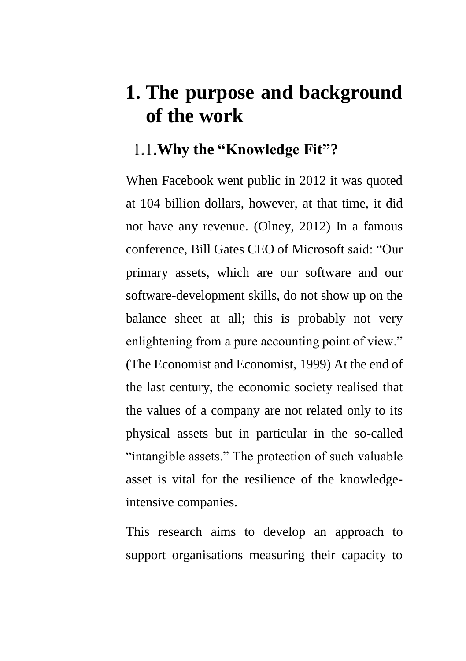# **1. The purpose and background of the work**

## **Why the "Knowledge Fit"?**

When Facebook went public in 2012 it was quoted at 104 billion dollars, however, at that time, it did not have any revenue. (Olney, 2012) In a famous conference, Bill Gates CEO of Microsoft said: "Our primary assets, which are our software and our software-development skills, do not show up on the balance sheet at all; this is probably not very enlightening from a pure accounting point of view." (The Economist and Economist, 1999) At the end of the last century, the economic society realised that the values of a company are not related only to its physical assets but in particular in the so-called "intangible assets." The protection of such valuable asset is vital for the resilience of the knowledgeintensive companies.

This research aims to develop an approach to support organisations measuring their capacity to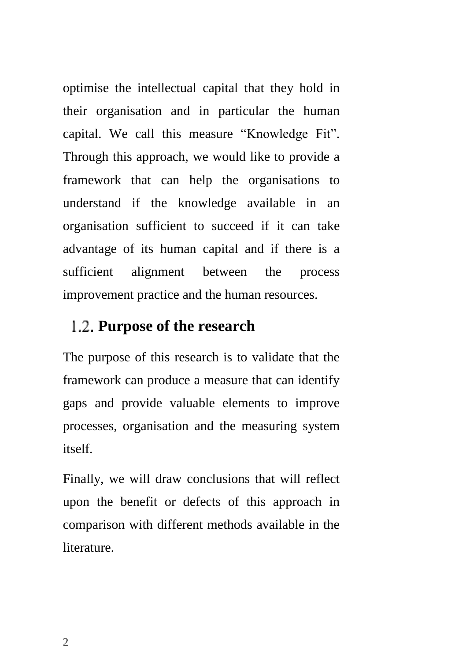optimise the intellectual capital that they hold in their organisation and in particular the human capital. We call this measure "Knowledge Fit". Through this approach, we would like to provide a framework that can help the organisations to understand if the knowledge available in an organisation sufficient to succeed if it can take advantage of its human capital and if there is a sufficient alignment between the process improvement practice and the human resources.

### **Purpose of the research**

The purpose of this research is to validate that the framework can produce a measure that can identify gaps and provide valuable elements to improve processes, organisation and the measuring system itself.

Finally, we will draw conclusions that will reflect upon the benefit or defects of this approach in comparison with different methods available in the literature.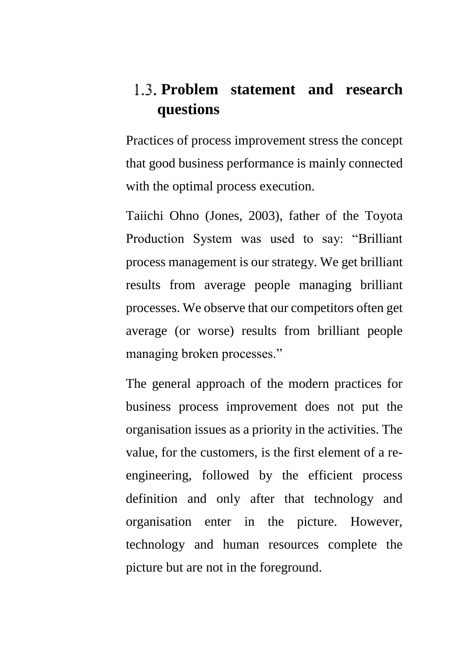## <span id="page-4-0"></span>**Problem statement and research questions**

Practices of process improvement stress the concept that good business performance is mainly connected with the optimal process execution.

Taiichi Ohno (Jones, 2003), father of the Toyota Production System was used to say: "Brilliant process management is our strategy. We get brilliant results from average people managing brilliant processes. We observe that our competitors often get average (or worse) results from brilliant people managing broken processes."

The general approach of the modern practices for business process improvement does not put the organisation issues as a priority in the activities. The value, for the customers, is the first element of a reengineering, followed by the efficient process definition and only after that technology and organisation enter in the picture. However, technology and human resources complete the picture but are not in the foreground.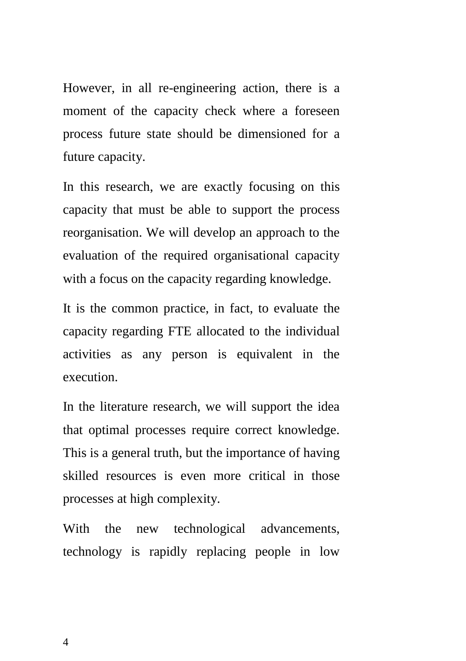However, in all re-engineering action, there is a moment of the capacity check where a foreseen process future state should be dimensioned for a future capacity.

In this research, we are exactly focusing on this capacity that must be able to support the process reorganisation. We will develop an approach to the evaluation of the required organisational capacity with a focus on the capacity regarding knowledge.

It is the common practice, in fact, to evaluate the capacity regarding FTE allocated to the individual activities as any person is equivalent in the execution.

In the literature research, we will support the idea that optimal processes require correct knowledge. This is a general truth, but the importance of having skilled resources is even more critical in those processes at high complexity.

With the new technological advancements, technology is rapidly replacing people in low

4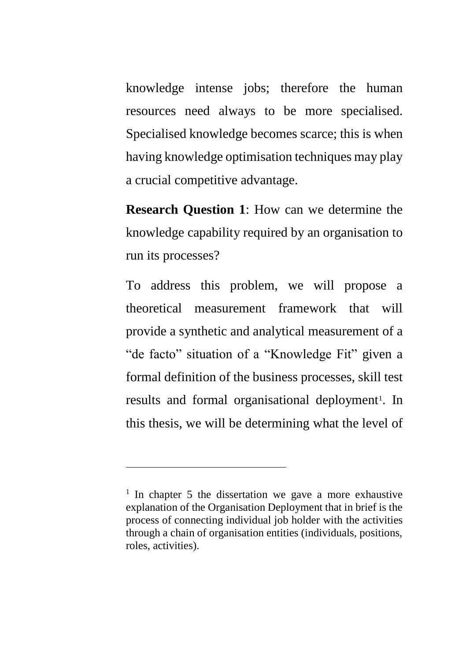knowledge intense jobs; therefore the human resources need always to be more specialised. Specialised knowledge becomes scarce; this is when having knowledge optimisation techniques may play a crucial competitive advantage.

**Research Question 1**: How can we determine the knowledge capability required by an organisation to run its processes?

To address this problem, we will propose a theoretical measurement framework that will provide a synthetic and analytical measurement of a "de facto" situation of a "Knowledge Fit" given a formal definition of the business processes, skill test results and formal organisational deployment<sup>1</sup>. In this thesis, we will be determining what the level of

 $\overline{a}$ 

<sup>&</sup>lt;sup>1</sup> In chapter 5 the dissertation we gave a more exhaustive explanation of the Organisation Deployment that in brief is the process of connecting individual job holder with the activities through a chain of organisation entities (individuals, positions, roles, activities).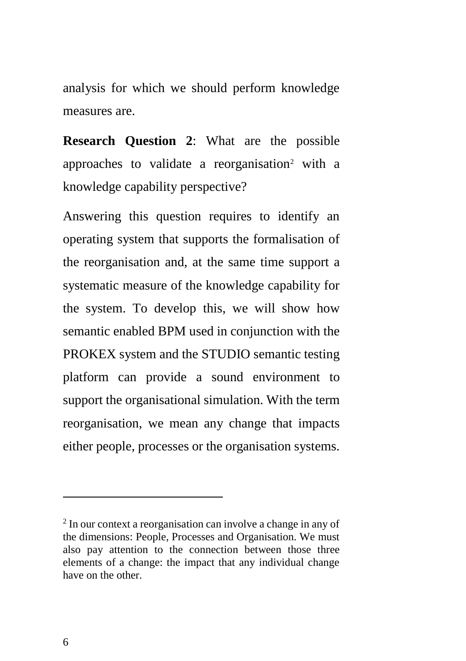analysis for which we should perform knowledge measures are.

**Research Question 2**: What are the possible approaches to validate a reorganisation<sup>2</sup> with a knowledge capability perspective?

Answering this question requires to identify an operating system that supports the formalisation of the reorganisation and, at the same time support a systematic measure of the knowledge capability for the system. To develop this, we will show how semantic enabled BPM used in conjunction with the PROKEX system and the STUDIO semantic testing platform can provide a sound environment to support the organisational simulation. With the term reorganisation, we mean any change that impacts either people, processes or the organisation systems.

 $\overline{a}$ 

<sup>&</sup>lt;sup>2</sup> In our context a reorganisation can involve a change in any of the dimensions: People, Processes and Organisation. We must also pay attention to the connection between those three elements of a change: the impact that any individual change have on the other.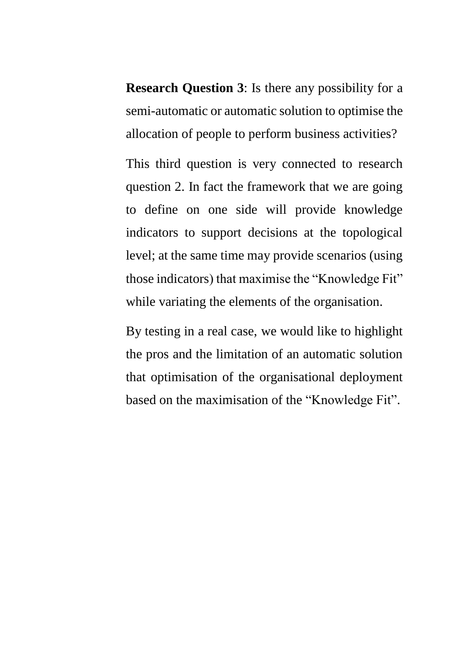**Research Question 3**: Is there any possibility for a semi-automatic or automatic solution to optimise the allocation of people to perform business activities?

This third question is very connected to research question 2. In fact the framework that we are going to define on one side will provide knowledge indicators to support decisions at the topological level; at the same time may provide scenarios (using those indicators) that maximise the "Knowledge Fit" while variating the elements of the organisation.

By testing in a real case, we would like to highlight the pros and the limitation of an automatic solution that optimisation of the organisational deployment based on the maximisation of the "Knowledge Fit".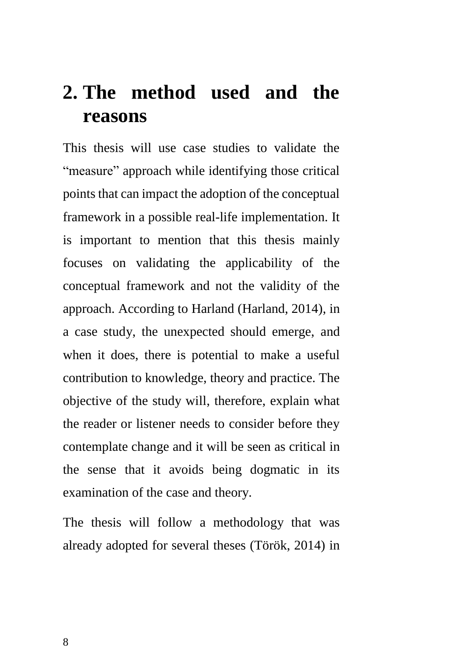# **2. The method used and the reasons**

This thesis will use case studies to validate the "measure" approach while identifying those critical points that can impact the adoption of the conceptual framework in a possible real-life implementation. It is important to mention that this thesis mainly focuses on validating the applicability of the conceptual framework and not the validity of the approach. According to Harland (Harland, 2014), in a case study, the unexpected should emerge, and when it does, there is potential to make a useful contribution to knowledge, theory and practice. The objective of the study will, therefore, explain what the reader or listener needs to consider before they contemplate change and it will be seen as critical in the sense that it avoids being dogmatic in its examination of the case and theory.

The thesis will follow a methodology that was already adopted for several theses (Török, 2014) in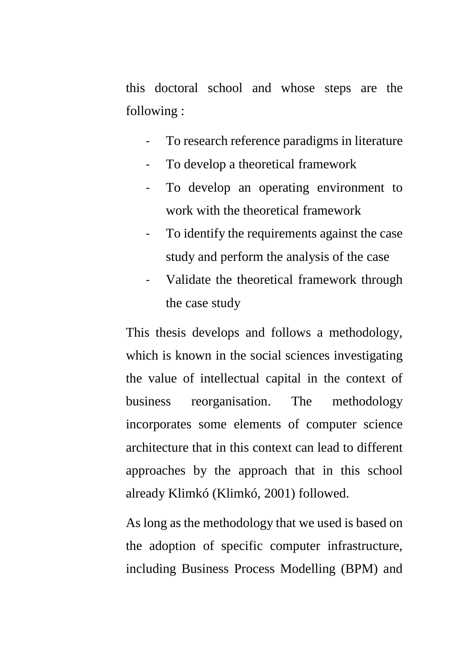this doctoral school and whose steps are the following :

- To research reference paradigms in literature
- To develop a theoretical framework
- To develop an operating environment to work with the theoretical framework
- To identify the requirements against the case study and perform the analysis of the case
- Validate the theoretical framework through the case study

This thesis develops and follows a methodology, which is known in the social sciences investigating the value of intellectual capital in the context of business reorganisation. The methodology incorporates some elements of computer science architecture that in this context can lead to different approaches by the approach that in this school already Klimkó (Klimkó, 2001) followed.

As long as the methodology that we used is based on the adoption of specific computer infrastructure, including Business Process Modelling (BPM) and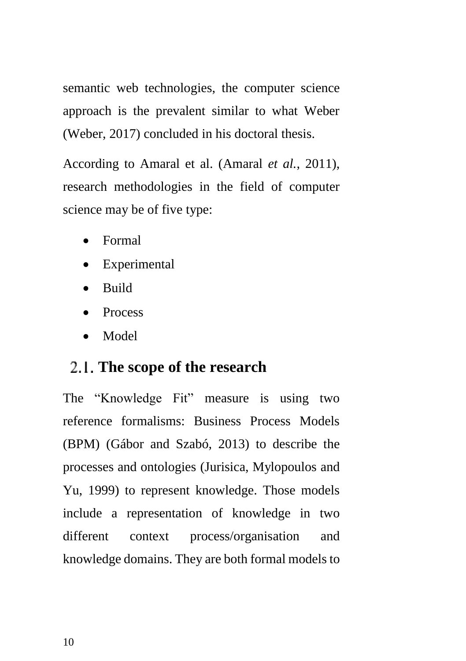semantic web technologies, the computer science approach is the prevalent similar to what Weber (Weber, 2017) concluded in his doctoral thesis.

According to Amaral et al. (Amaral *et al.*, 2011), research methodologies in the field of computer science may be of five type:

- Formal
- Experimental
- Build
- Process
- Model

## **The scope of the research**

The "Knowledge Fit" measure is using two reference formalisms: Business Process Models (BPM) (Gábor and Szabó, 2013) to describe the processes and ontologies (Jurisica, Mylopoulos and Yu, 1999) to represent knowledge. Those models include a representation of knowledge in two different context process/organisation and knowledge domains. They are both formal models to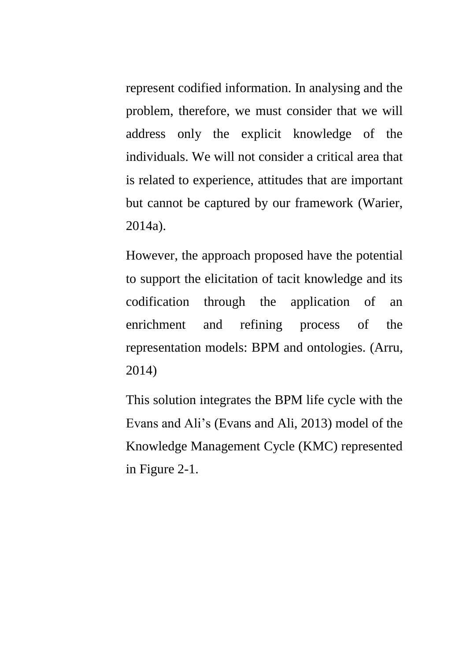represent codified information. In analysing and the problem, therefore, we must consider that we will address only the explicit knowledge of the individuals. We will not consider a critical area that is related to experience, attitudes that are important but cannot be captured by our framework (Warier, 2014a).

However, the approach proposed have the potential to support the elicitation of tacit knowledge and its codification through the application of an enrichment and refining process of the representation models: BPM and ontologies. (Arru, 2014)

This solution integrates the BPM life cycle with the Evans and Ali's (Evans and Ali, 2013) model of the Knowledge Management Cycle (KMC) represented in [Figure 2-1.](#page-13-0)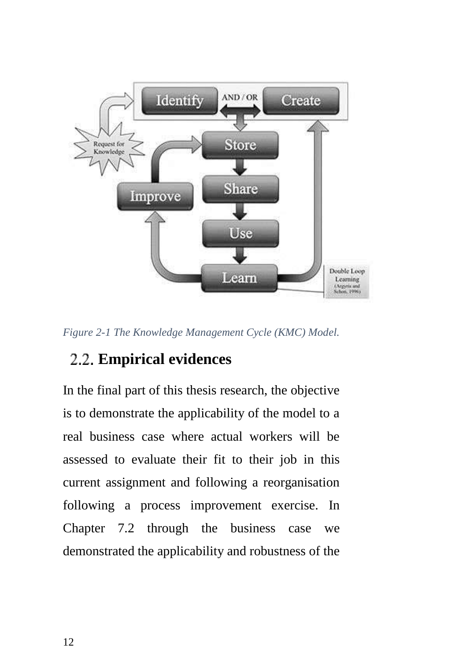

<span id="page-13-0"></span>*Figure 2-1 The Knowledge Management Cycle (KMC) Model.*

## **Empirical evidences**

In the final part of this thesis research, the objective is to demonstrate the applicability of the model to a real business case where actual workers will be assessed to evaluate their fit to their job in this current assignment and following a reorganisation following a process improvement exercise. In Chapter 7.2 through the business case we demonstrated the applicability and robustness of the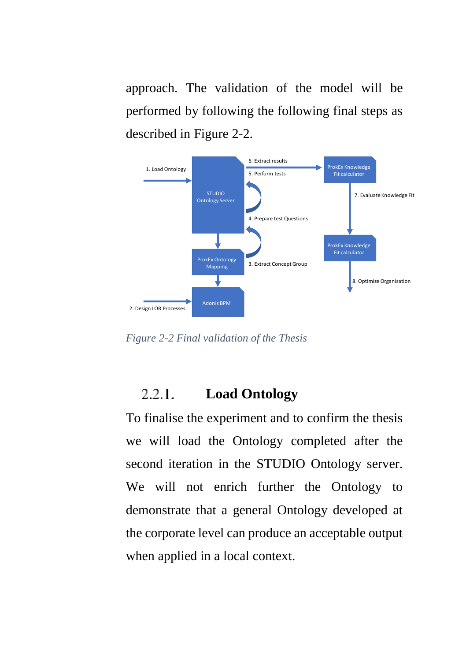approach. The validation of the model will be performed by following the following final steps as described in [Figure 2-2.](#page-14-0)



<span id="page-14-0"></span>*Figure 2-2 Final validation of the Thesis*

#### $2.2.1.$ **Load Ontology**

To finalise the experiment and to confirm the thesis we will load the Ontology completed after the second iteration in the STUDIO Ontology server. We will not enrich further the Ontology to demonstrate that a general Ontology developed at the corporate level can produce an acceptable output when applied in a local context.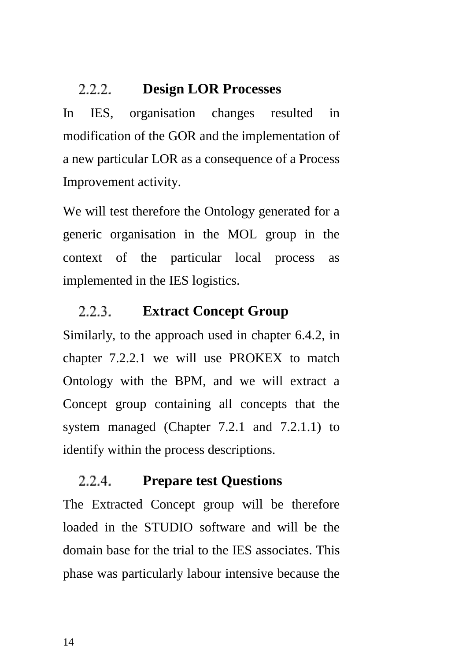#### **Design LOR Processes** フフフー

In IES, organisation changes resulted in modification of the GOR and the implementation of a new particular LOR as a consequence of a Process Improvement activity.

We will test therefore the Ontology generated for a generic organisation in the MOL group in the context of the particular local process as implemented in the IES logistics.

#### $2.2.3.$ **Extract Concept Group**

Similarly, to the approach used in chapter 6.4.2, in chapter 7.2.2.1 we will use PROKEX to match Ontology with the BPM, and we will extract a Concept group containing all concepts that the system managed (Chapter 7.2.1 and 7.2.1.1) to identify within the process descriptions.

#### 2.2.4. **Prepare test Questions**

The Extracted Concept group will be therefore loaded in the STUDIO software and will be the domain base for the trial to the IES associates. This phase was particularly labour intensive because the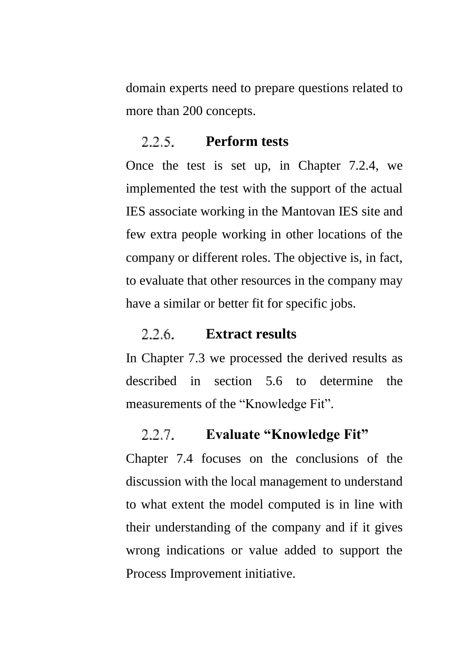domain experts need to prepare questions related to more than 200 concepts.

#### $2.2.5.$ **Perform tests**

Once the test is set up, in Chapter 7.2.4, we implemented the test with the support of the actual IES associate working in the Mantovan IES site and few extra people working in other locations of the company or different roles. The objective is, in fact, to evaluate that other resources in the company may have a similar or better fit for specific jobs.

#### 2.2.6. **Extract results**

In Chapter 7.3 we processed the derived results as described in section 5.6 to determine the measurements of the "Knowledge Fit".

#### $2.2.7.$ **Evaluate "Knowledge Fit"**

Chapter 7.4 focuses on the conclusions of the discussion with the local management to understand to what extent the model computed is in line with their understanding of the company and if it gives wrong indications or value added to support the Process Improvement initiative.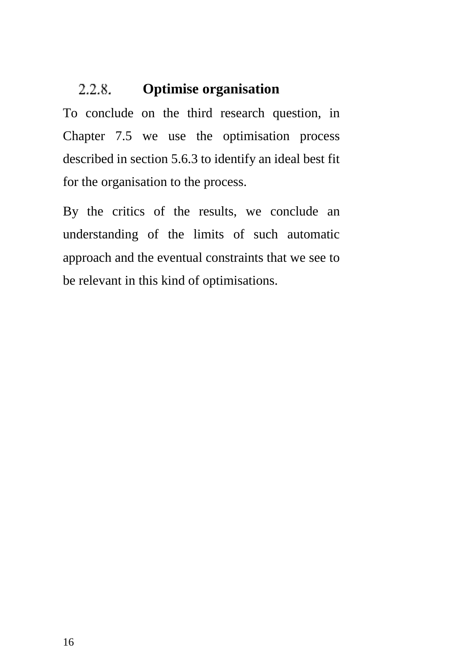#### $2.2.8.$ **Optimise organisation**

To conclude on the third research question, in Chapter 7.5 we use the optimisation process described in section 5.6.3 to identify an ideal best fit for the organisation to the process.

By the critics of the results, we conclude an understanding of the limits of such automatic approach and the eventual constraints that we see to be relevant in this kind of optimisations.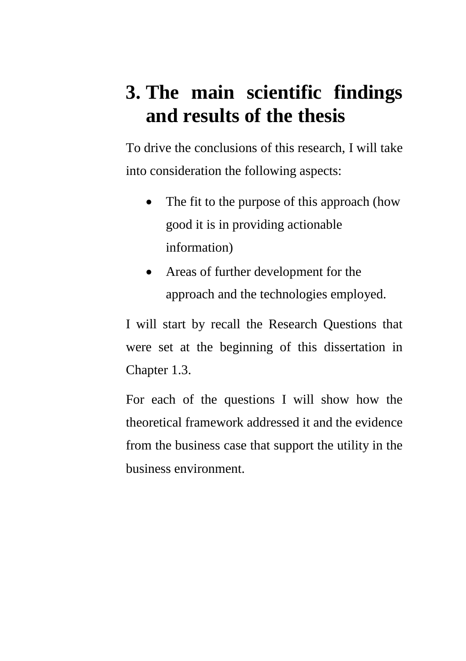# **3. The main scientific findings and results of the thesis**

To drive the conclusions of this research, I will take into consideration the following aspects:

- The fit to the purpose of this approach (how good it is in providing actionable information)
- Areas of further development for the approach and the technologies employed.

I will start by recall the Research Questions that were set at the beginning of this dissertation in Chapter [1.3.](#page-4-0)

For each of the questions I will show how the theoretical framework addressed it and the evidence from the business case that support the utility in the business environment.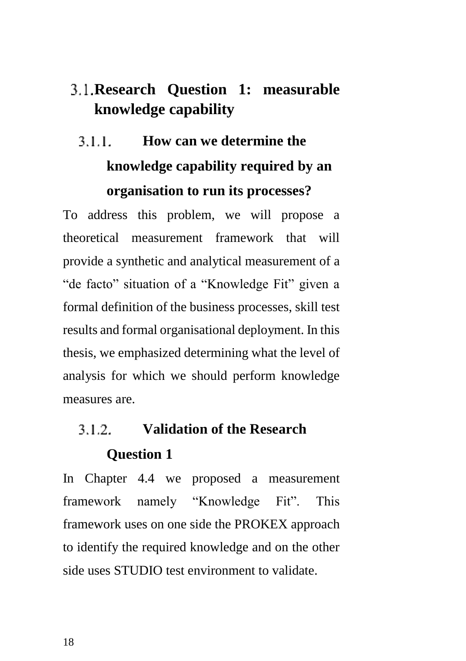## **Research Question 1: measurable knowledge capability**

### **How can we determine the**  3 1 1 **knowledge capability required by an organisation to run its processes?**

To address this problem, we will propose a theoretical measurement framework that will provide a synthetic and analytical measurement of a "de facto" situation of a "Knowledge Fit" given a formal definition of the business processes, skill test results and formal organisational deployment. In this thesis, we emphasized determining what the level of analysis for which we should perform knowledge measures are.

### **Validation of the Research**   $312$ **Question 1**

In Chapter 4.4 we proposed a measurement framework namely "Knowledge Fit". This framework uses on one side the PROKEX approach to identify the required knowledge and on the other side uses STUDIO test environment to validate.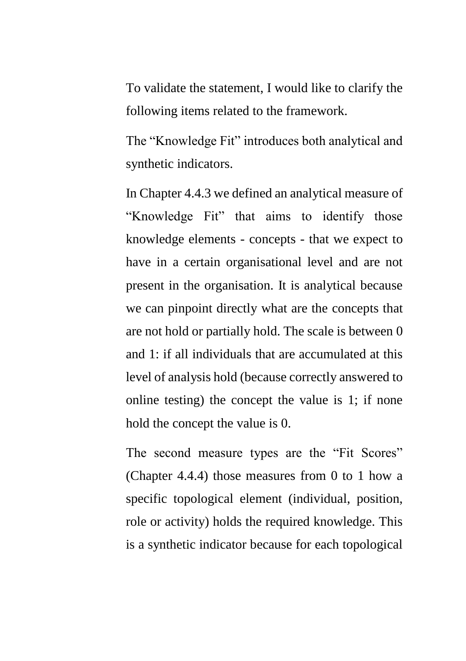To validate the statement, I would like to clarify the following items related to the framework.

The "Knowledge Fit" introduces both analytical and synthetic indicators.

In Chapter 4.4.3 we defined an analytical measure of "Knowledge Fit" that aims to identify those knowledge elements - concepts - that we expect to have in a certain organisational level and are not present in the organisation. It is analytical because we can pinpoint directly what are the concepts that are not hold or partially hold. The scale is between 0 and 1: if all individuals that are accumulated at this level of analysis hold (because correctly answered to online testing) the concept the value is 1; if none hold the concept the value is 0.

The second measure types are the "Fit Scores" (Chapter 4.4.4) those measures from 0 to 1 how a specific topological element (individual, position, role or activity) holds the required knowledge. This is a synthetic indicator because for each topological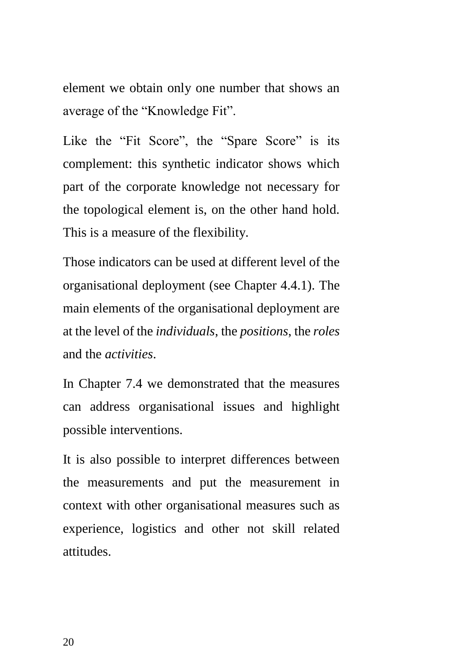element we obtain only one number that shows an average of the "Knowledge Fit".

Like the "Fit Score", the "Spare Score" is its complement: this synthetic indicator shows which part of the corporate knowledge not necessary for the topological element is, on the other hand hold. This is a measure of the flexibility.

Those indicators can be used at different level of the organisational deployment (see Chapter 4.4.1). The main elements of the organisational deployment are at the level of the *individuals*, the *positions*, the *roles* and the *activities*.

In Chapter 7.4 we demonstrated that the measures can address organisational issues and highlight possible interventions.

It is also possible to interpret differences between the measurements and put the measurement in context with other organisational measures such as experience, logistics and other not skill related attitudes.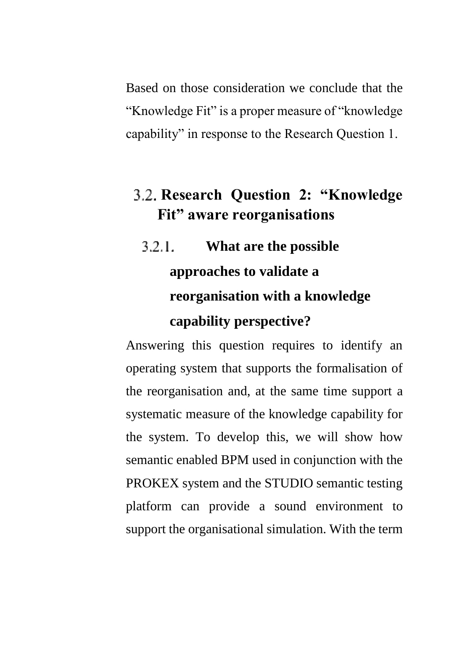Based on those consideration we conclude that the "Knowledge Fit" is a proper measure of "knowledge capability" in response to the Research Question 1.

## **Research Question 2: "Knowledge Fit" aware reorganisations**

 $3.2.1.$ **What are the possible approaches to validate a reorganisation with a knowledge capability perspective?**

Answering this question requires to identify an operating system that supports the formalisation of the reorganisation and, at the same time support a systematic measure of the knowledge capability for the system. To develop this, we will show how semantic enabled BPM used in conjunction with the PROKEX system and the STUDIO semantic testing platform can provide a sound environment to support the organisational simulation. With the term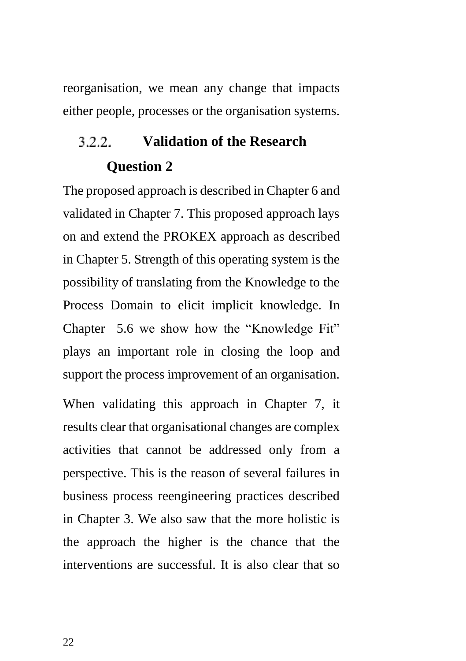reorganisation, we mean any change that impacts either people, processes or the organisation systems.

### 3.2.2 **Validation of the Research Question 2**

The proposed approach is described in Chapter 6 and validated in Chapter 7. This proposed approach lays on and extend the PROKEX approach as described in Chapter 5. Strength of this operating system is the possibility of translating from the Knowledge to the Process Domain to elicit implicit knowledge. In Chapter 5.6 we show how the "Knowledge Fit" plays an important role in closing the loop and support the process improvement of an organisation.

When validating this approach in Chapter 7, it results clear that organisational changes are complex activities that cannot be addressed only from a perspective. This is the reason of several failures in business process reengineering practices described in Chapter 3. We also saw that the more holistic is the approach the higher is the chance that the interventions are successful. It is also clear that so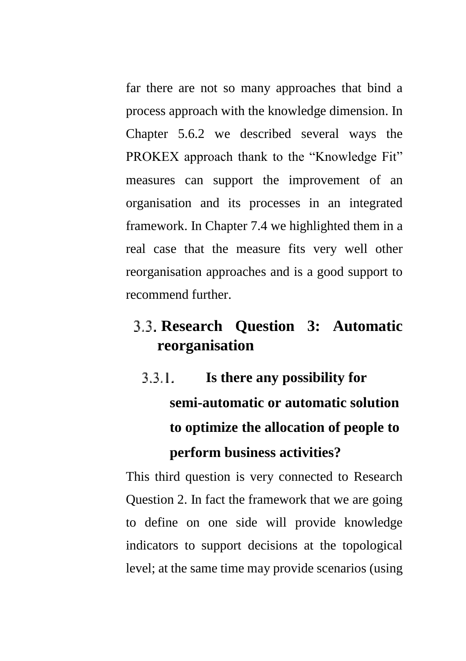far there are not so many approaches that bind a process approach with the knowledge dimension. In Chapter 5.6.2 we described several ways the PROKEX approach thank to the "Knowledge Fit" measures can support the improvement of an organisation and its processes in an integrated framework. In Chapter 7.4 we highlighted them in a real case that the measure fits very well other reorganisation approaches and is a good support to recommend further.

## **Research Question 3: Automatic reorganisation**

 $3.3.1.$ **Is there any possibility for semi-automatic or automatic solution to optimize the allocation of people to perform business activities?**

This third question is very connected to Research Question 2. In fact the framework that we are going to define on one side will provide knowledge indicators to support decisions at the topological level; at the same time may provide scenarios (using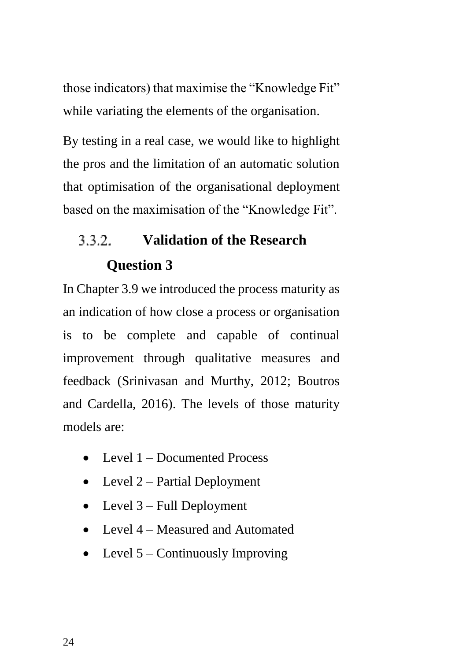those indicators) that maximise the "Knowledge Fit" while variating the elements of the organisation.

By testing in a real case, we would like to highlight the pros and the limitation of an automatic solution that optimisation of the organisational deployment based on the maximisation of the "Knowledge Fit".

### **Validation of the Research**  3.3.2. **Question 3**

In Chapter 3.9 we introduced the process maturity as an indication of how close a process or organisation is to be complete and capable of continual improvement through qualitative measures and feedback (Srinivasan and Murthy, 2012; Boutros and Cardella, 2016). The levels of those maturity models are:

- Level 1 Documented Process
- Level  $2$  Partial Deployment
- Level  $3$  Full Deployment
- Level 4 Measured and Automated
- Level  $5$  Continuously Improving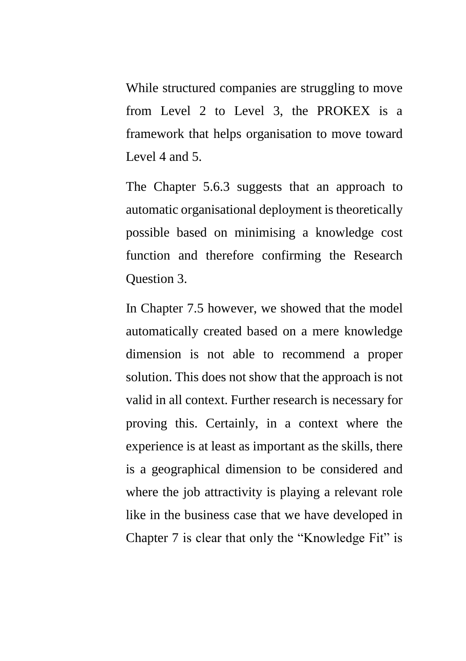While structured companies are struggling to move from Level 2 to Level 3, the PROKEX is a framework that helps organisation to move toward Level 4 and 5.

The Chapter 5.6.3 suggests that an approach to automatic organisational deployment is theoretically possible based on minimising a knowledge cost function and therefore confirming the Research Question 3.

In Chapter 7.5 however, we showed that the model automatically created based on a mere knowledge dimension is not able to recommend a proper solution. This does not show that the approach is not valid in all context. Further research is necessary for proving this. Certainly, in a context where the experience is at least as important as the skills, there is a geographical dimension to be considered and where the job attractivity is playing a relevant role like in the business case that we have developed in Chapter 7 is clear that only the "Knowledge Fit" is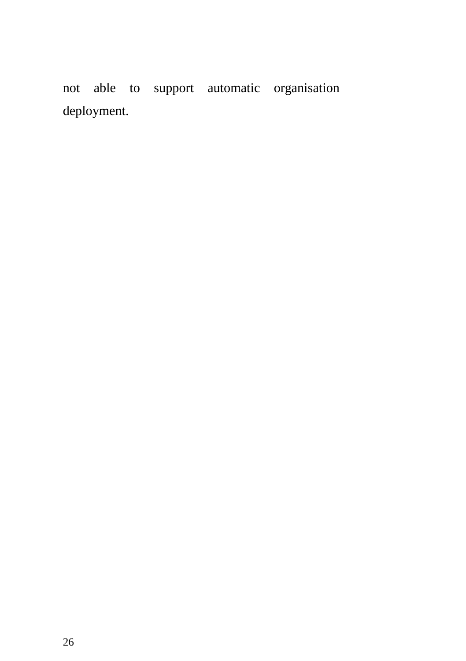not able to support automatic organisation deployment.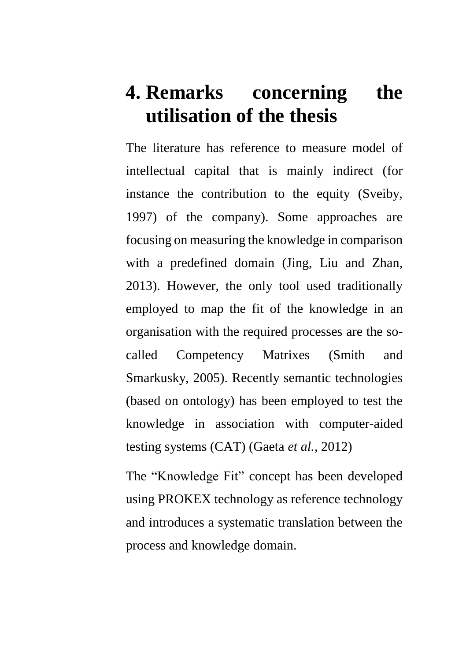# **4. Remarks concerning the utilisation of the thesis**

The literature has reference to measure model of intellectual capital that is mainly indirect (for instance the contribution to the equity (Sveiby, 1997) of the company). Some approaches are focusing on measuring the knowledge in comparison with a predefined domain (Jing, Liu and Zhan, 2013). However, the only tool used traditionally employed to map the fit of the knowledge in an organisation with the required processes are the socalled Competency Matrixes (Smith and Smarkusky, 2005). Recently semantic technologies (based on ontology) has been employed to test the knowledge in association with computer-aided testing systems (CAT) (Gaeta *et al.*, 2012)

The "Knowledge Fit" concept has been developed using PROKEX technology as reference technology and introduces a systematic translation between the process and knowledge domain.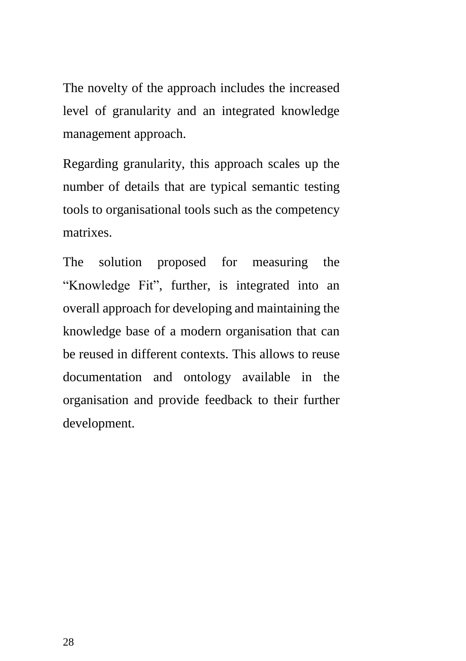The novelty of the approach includes the increased level of granularity and an integrated knowledge management approach.

Regarding granularity, this approach scales up the number of details that are typical semantic testing tools to organisational tools such as the competency matrixes.

The solution proposed for measuring the "Knowledge Fit", further, is integrated into an overall approach for developing and maintaining the knowledge base of a modern organisation that can be reused in different contexts. This allows to reuse documentation and ontology available in the organisation and provide feedback to their further development.